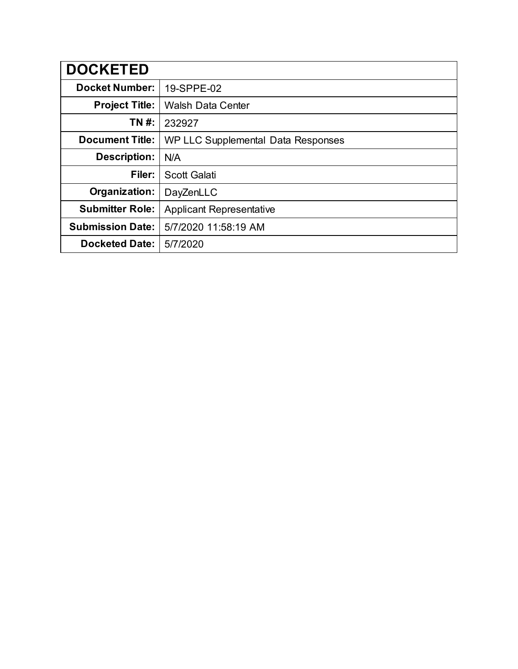| <b>DOCKETED</b>         |                                    |
|-------------------------|------------------------------------|
| <b>Docket Number:</b>   | 19-SPPE-02                         |
| <b>Project Title:</b>   | <b>Walsh Data Center</b>           |
| TN #:                   | 232927                             |
| <b>Document Title:</b>  | WP LLC Supplemental Data Responses |
| <b>Description:</b>     | N/A                                |
| Filer:                  | <b>Scott Galati</b>                |
| Organization:           | DayZenLLC                          |
| <b>Submitter Role:</b>  | <b>Applicant Representative</b>    |
| <b>Submission Date:</b> | 5/7/2020 11:58:19 AM               |
| <b>Docketed Date:</b>   | 5/7/2020                           |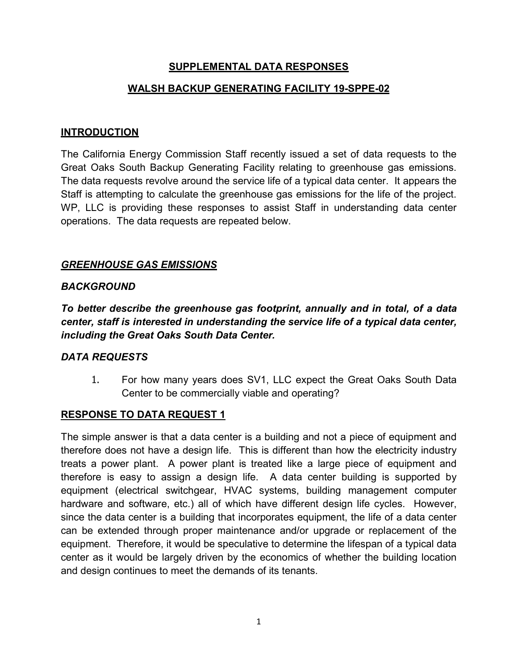## **SUPPLEMENTAL DATA RESPONSES**

#### **WALSH BACKUP GENERATING FACILITY 19-SPPE-02**

#### **INTRODUCTION**

The California Energy Commission Staff recently issued a set of data requests to the Great Oaks South Backup Generating Facility relating to greenhouse gas emissions. The data requests revolve around the service life of a typical data center. It appears the Staff is attempting to calculate the greenhouse gas emissions for the life of the project. WP, LLC is providing these responses to assist Staff in understanding data center operations. The data requests are repeated below.

#### *GREENHOUSE GAS EMISSIONS*

#### *BACKGROUND*

*To better describe the greenhouse gas footprint, annually and in total, of a data center, staff is interested in understanding the service life of a typical data center, including the Great Oaks South Data Center.*

#### *DATA REQUESTS*

1. For how many years does SV1, LLC expect the Great Oaks South Data Center to be commercially viable and operating?

#### **RESPONSE TO DATA REQUEST 1**

The simple answer is that a data center is a building and not a piece of equipment and therefore does not have a design life. This is different than how the electricity industry treats a power plant. A power plant is treated like a large piece of equipment and therefore is easy to assign a design life. A data center building is supported by equipment (electrical switchgear, HVAC systems, building management computer hardware and software, etc.) all of which have different design life cycles. However, since the data center is a building that incorporates equipment, the life of a data center can be extended through proper maintenance and/or upgrade or replacement of the equipment. Therefore, it would be speculative to determine the lifespan of a typical data center as it would be largely driven by the economics of whether the building location and design continues to meet the demands of its tenants.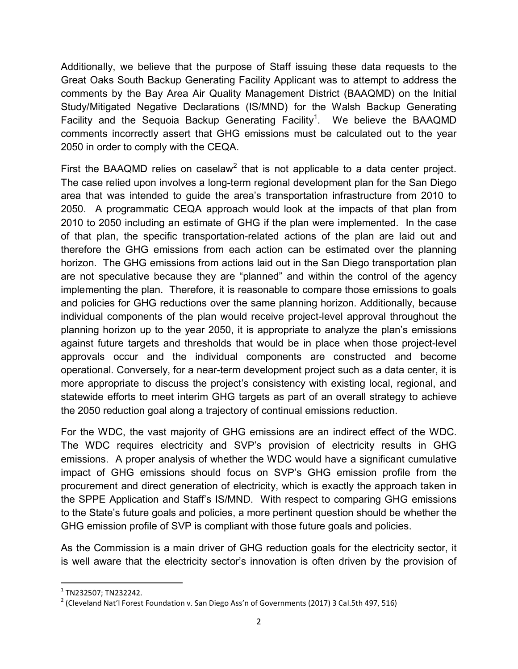Additionally, we believe that the purpose of Staff issuing these data requests to the Great Oaks South Backup Generating Facility Applicant was to attempt to address the comments by the Bay Area Air Quality Management District (BAAQMD) on the Initial Study/Mitigated Negative Declarations (IS/MND) for the Walsh Backup Generating Facility and the Sequoia Backup Generating Facility<sup>1</sup>. We believe the BAAQMD comments incorrectly assert that GHG emissions must be calculated out to the year 2050 in order to comply with the CEQA.

First the BAAQMD relies on caselaw<sup>2</sup> that is not applicable to a data center project. The case relied upon involves a long-term regional development plan for the San Diego area that was intended to guide the area's transportation infrastructure from 2010 to 2050. A programmatic CEQA approach would look at the impacts of that plan from 2010 to 2050 including an estimate of GHG if the plan were implemented. In the case of that plan, the specific transportation-related actions of the plan are laid out and therefore the GHG emissions from each action can be estimated over the planning horizon. The GHG emissions from actions laid out in the San Diego transportation plan are not speculative because they are "planned" and within the control of the agency implementing the plan. Therefore, it is reasonable to compare those emissions to goals and policies for GHG reductions over the same planning horizon. Additionally, because individual components of the plan would receive project-level approval throughout the planning horizon up to the year 2050, it is appropriate to analyze the plan's emissions against future targets and thresholds that would be in place when those project-level approvals occur and the individual components are constructed and become operational. Conversely, for a near-term development project such as a data center, it is more appropriate to discuss the project's consistency with existing local, regional, and statewide efforts to meet interim GHG targets as part of an overall strategy to achieve the 2050 reduction goal along a trajectory of continual emissions reduction.

For the WDC, the vast majority of GHG emissions are an indirect effect of the WDC. The WDC requires electricity and SVP's provision of electricity results in GHG emissions. A proper analysis of whether the WDC would have a significant cumulative impact of GHG emissions should focus on SVP's GHG emission profile from the procurement and direct generation of electricity, which is exactly the approach taken in the SPPE Application and Staff's IS/MND. With respect to comparing GHG emissions to the State's future goals and policies, a more pertinent question should be whether the GHG emission profile of SVP is compliant with those future goals and policies.

As the Commission is a main driver of GHG reduction goals for the electricity sector, it is well aware that the electricity sector's innovation is often driven by the provision of

 $1$  TN232507: TN232242.

<sup>&</sup>lt;sup>2</sup> (Cleveland Nat'l Forest Foundation v. San Diego Ass'n of Governments (2017) 3 Cal.5th 497, 516)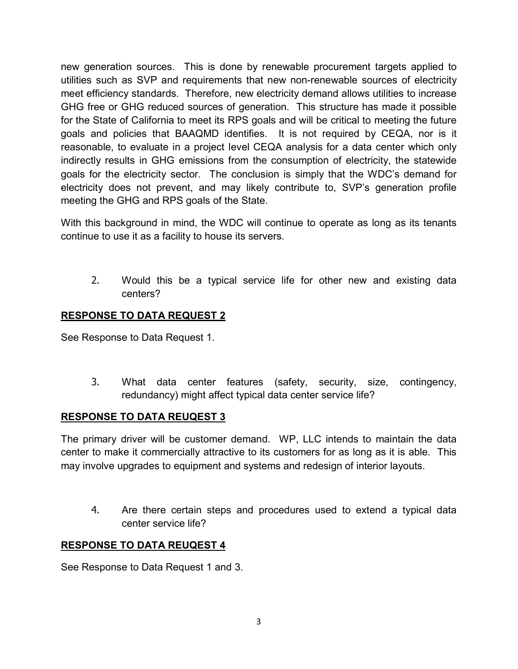new generation sources. This is done by renewable procurement targets applied to utilities such as SVP and requirements that new non-renewable sources of electricity meet efficiency standards. Therefore, new electricity demand allows utilities to increase GHG free or GHG reduced sources of generation. This structure has made it possible for the State of California to meet its RPS goals and will be critical to meeting the future goals and policies that BAAQMD identifies. It is not required by CEQA, nor is it reasonable, to evaluate in a project level CEQA analysis for a data center which only indirectly results in GHG emissions from the consumption of electricity, the statewide goals for the electricity sector. The conclusion is simply that the WDC's demand for electricity does not prevent, and may likely contribute to, SVP's generation profile meeting the GHG and RPS goals of the State.

With this background in mind, the WDC will continue to operate as long as its tenants continue to use it as a facility to house its servers.

2. Would this be a typical service life for other new and existing data centers?

# **RESPONSE TO DATA REQUEST 2**

See Response to Data Request 1.

3. What data center features (safety, security, size, contingency, redundancy) might affect typical data center service life?

## **RESPONSE TO DATA REUQEST 3**

The primary driver will be customer demand. WP, LLC intends to maintain the data center to make it commercially attractive to its customers for as long as it is able. This may involve upgrades to equipment and systems and redesign of interior layouts.

4. Are there certain steps and procedures used to extend a typical data center service life?

# **RESPONSE TO DATA REUQEST 4**

See Response to Data Request 1 and 3.